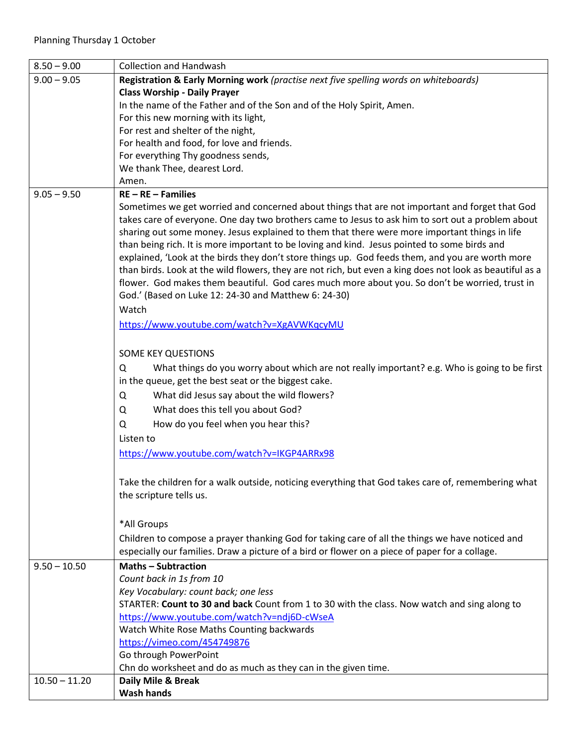| $8.50 - 9.00$   | <b>Collection and Handwash</b>                                                                           |
|-----------------|----------------------------------------------------------------------------------------------------------|
| $9.00 - 9.05$   | Registration & Early Morning work (practise next five spelling words on whiteboards)                     |
|                 | <b>Class Worship - Daily Prayer</b>                                                                      |
|                 | In the name of the Father and of the Son and of the Holy Spirit, Amen.                                   |
|                 | For this new morning with its light,                                                                     |
|                 | For rest and shelter of the night,                                                                       |
|                 | For health and food, for love and friends.                                                               |
|                 | For everything Thy goodness sends,                                                                       |
|                 | We thank Thee, dearest Lord.                                                                             |
|                 | Amen.                                                                                                    |
| $9.05 - 9.50$   | $RE - RE - Families$                                                                                     |
|                 | Sometimes we get worried and concerned about things that are not important and forget that God           |
|                 | takes care of everyone. One day two brothers came to Jesus to ask him to sort out a problem about        |
|                 | sharing out some money. Jesus explained to them that there were more important things in life            |
|                 | than being rich. It is more important to be loving and kind. Jesus pointed to some birds and             |
|                 | explained, 'Look at the birds they don't store things up. God feeds them, and you are worth more         |
|                 | than birds. Look at the wild flowers, they are not rich, but even a king does not look as beautiful as a |
|                 | flower. God makes them beautiful. God cares much more about you. So don't be worried, trust in           |
|                 | God.' (Based on Luke 12: 24-30 and Matthew 6: 24-30)                                                     |
|                 | Watch                                                                                                    |
|                 | https://www.youtube.com/watch?v=XgAVWKqcyMU                                                              |
|                 |                                                                                                          |
|                 | SOME KEY QUESTIONS                                                                                       |
|                 | What things do you worry about which are not really important? e.g. Who is going to be first<br>Q        |
|                 | in the queue, get the best seat or the biggest cake.                                                     |
|                 | What did Jesus say about the wild flowers?<br>Q                                                          |
|                 | What does this tell you about God?<br>Q                                                                  |
|                 | How do you feel when you hear this?<br>Q                                                                 |
|                 |                                                                                                          |
|                 | Listen to                                                                                                |
|                 | https://www.youtube.com/watch?v=IKGP4ARRx98                                                              |
|                 |                                                                                                          |
|                 | Take the children for a walk outside, noticing everything that God takes care of, remembering what       |
|                 | the scripture tells us.                                                                                  |
|                 |                                                                                                          |
|                 | *All Groups                                                                                              |
|                 | Children to compose a prayer thanking God for taking care of all the things we have noticed and          |
|                 | especially our families. Draw a picture of a bird or flower on a piece of paper for a collage.           |
| $9.50 - 10.50$  | <b>Maths - Subtraction</b>                                                                               |
|                 | Count back in 1s from 10                                                                                 |
|                 | Key Vocabulary: count back; one less                                                                     |
|                 | STARTER: Count to 30 and back Count from 1 to 30 with the class. Now watch and sing along to             |
|                 | https://www.youtube.com/watch?v=ndj6D-cWseA                                                              |
|                 | Watch White Rose Maths Counting backwards                                                                |
|                 | https://vimeo.com/454749876                                                                              |
|                 | Go through PowerPoint                                                                                    |
|                 | Chn do worksheet and do as much as they can in the given time.                                           |
| $10.50 - 11.20$ | Daily Mile & Break                                                                                       |
|                 | <b>Wash hands</b>                                                                                        |